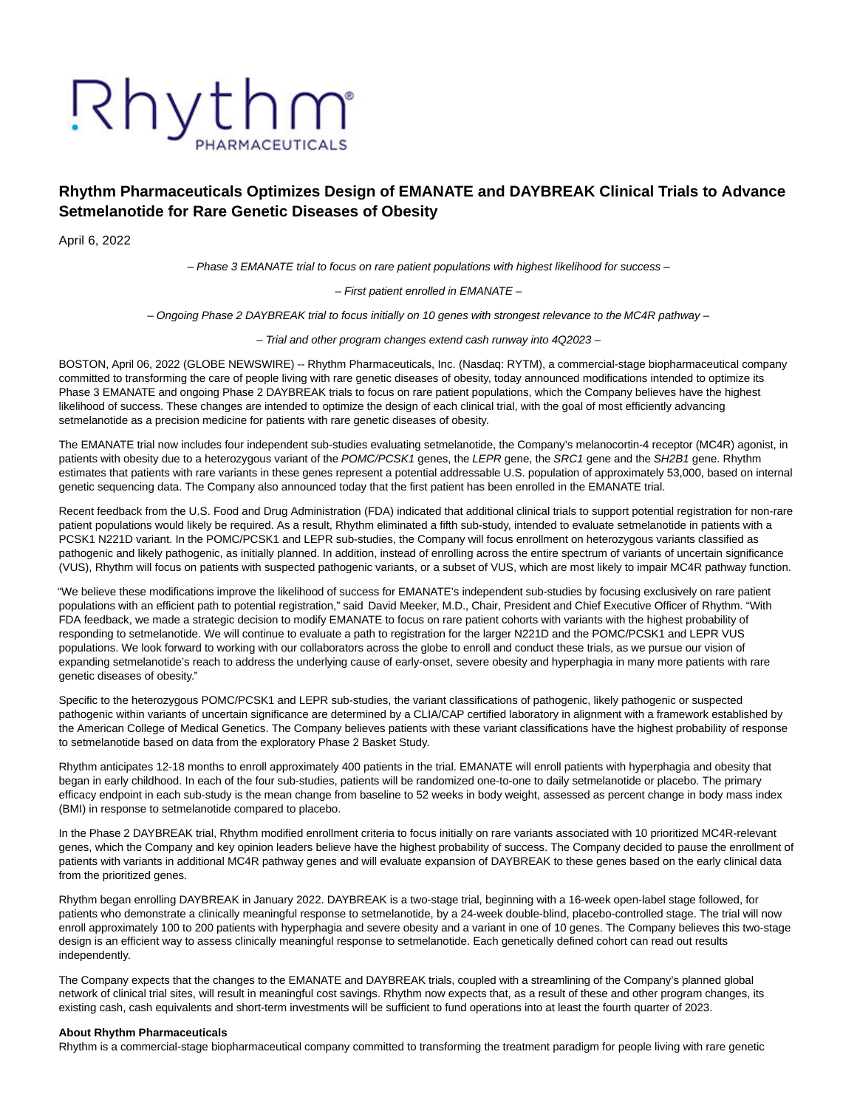# Rhythm

# **Rhythm Pharmaceuticals Optimizes Design of EMANATE and DAYBREAK Clinical Trials to Advance Setmelanotide for Rare Genetic Diseases of Obesity**

April 6, 2022

– Phase 3 EMANATE trial to focus on rare patient populations with highest likelihood for success –

– First patient enrolled in EMANATE –

– Ongoing Phase 2 DAYBREAK trial to focus initially on 10 genes with strongest relevance to the MC4R pathway –

– Trial and other program changes extend cash runway into 4Q2023 –

BOSTON, April 06, 2022 (GLOBE NEWSWIRE) -- Rhythm Pharmaceuticals, Inc. (Nasdaq: RYTM), a commercial-stage biopharmaceutical company committed to transforming the care of people living with rare genetic diseases of obesity, today announced modifications intended to optimize its Phase 3 EMANATE and ongoing Phase 2 DAYBREAK trials to focus on rare patient populations, which the Company believes have the highest likelihood of success. These changes are intended to optimize the design of each clinical trial, with the goal of most efficiently advancing setmelanotide as a precision medicine for patients with rare genetic diseases of obesity.

The EMANATE trial now includes four independent sub-studies evaluating setmelanotide, the Company's melanocortin-4 receptor (MC4R) agonist, in patients with obesity due to a heterozygous variant of the POMC/PCSK1 genes, the LEPR gene, the SRC1 gene and the SH2B1 gene. Rhythm estimates that patients with rare variants in these genes represent a potential addressable U.S. population of approximately 53,000, based on internal genetic sequencing data. The Company also announced today that the first patient has been enrolled in the EMANATE trial.

Recent feedback from the U.S. Food and Drug Administration (FDA) indicated that additional clinical trials to support potential registration for non-rare patient populations would likely be required. As a result, Rhythm eliminated a fifth sub-study, intended to evaluate setmelanotide in patients with a PCSK1 N221D variant. In the POMC/PCSK1 and LEPR sub-studies, the Company will focus enrollment on heterozygous variants classified as pathogenic and likely pathogenic, as initially planned. In addition, instead of enrolling across the entire spectrum of variants of uncertain significance (VUS), Rhythm will focus on patients with suspected pathogenic variants, or a subset of VUS, which are most likely to impair MC4R pathway function.

"We believe these modifications improve the likelihood of success for EMANATE's independent sub-studies by focusing exclusively on rare patient populations with an efficient path to potential registration," said David Meeker, M.D., Chair, President and Chief Executive Officer of Rhythm. "With FDA feedback, we made a strategic decision to modify EMANATE to focus on rare patient cohorts with variants with the highest probability of responding to setmelanotide. We will continue to evaluate a path to registration for the larger N221D and the POMC/PCSK1 and LEPR VUS populations. We look forward to working with our collaborators across the globe to enroll and conduct these trials, as we pursue our vision of expanding setmelanotide's reach to address the underlying cause of early-onset, severe obesity and hyperphagia in many more patients with rare genetic diseases of obesity."

Specific to the heterozygous POMC/PCSK1 and LEPR sub-studies, the variant classifications of pathogenic, likely pathogenic or suspected pathogenic within variants of uncertain significance are determined by a CLIA/CAP certified laboratory in alignment with a framework established by the American College of Medical Genetics. The Company believes patients with these variant classifications have the highest probability of response to setmelanotide based on data from the exploratory Phase 2 Basket Study.

Rhythm anticipates 12-18 months to enroll approximately 400 patients in the trial. EMANATE will enroll patients with hyperphagia and obesity that began in early childhood. In each of the four sub-studies, patients will be randomized one-to-one to daily setmelanotide or placebo. The primary efficacy endpoint in each sub-study is the mean change from baseline to 52 weeks in body weight, assessed as percent change in body mass index (BMI) in response to setmelanotide compared to placebo.

In the Phase 2 DAYBREAK trial, Rhythm modified enrollment criteria to focus initially on rare variants associated with 10 prioritized MC4R-relevant genes, which the Company and key opinion leaders believe have the highest probability of success. The Company decided to pause the enrollment of patients with variants in additional MC4R pathway genes and will evaluate expansion of DAYBREAK to these genes based on the early clinical data from the prioritized genes.

Rhythm began enrolling DAYBREAK in January 2022. DAYBREAK is a two-stage trial, beginning with a 16-week open-label stage followed, for patients who demonstrate a clinically meaningful response to setmelanotide, by a 24-week double-blind, placebo-controlled stage. The trial will now enroll approximately 100 to 200 patients with hyperphagia and severe obesity and a variant in one of 10 genes. The Company believes this two-stage design is an efficient way to assess clinically meaningful response to setmelanotide. Each genetically defined cohort can read out results independently.

The Company expects that the changes to the EMANATE and DAYBREAK trials, coupled with a streamlining of the Company's planned global network of clinical trial sites, will result in meaningful cost savings. Rhythm now expects that, as a result of these and other program changes, its existing cash, cash equivalents and short-term investments will be sufficient to fund operations into at least the fourth quarter of 2023.

#### **About Rhythm Pharmaceuticals**

Rhythm is a commercial-stage biopharmaceutical company committed to transforming the treatment paradigm for people living with rare genetic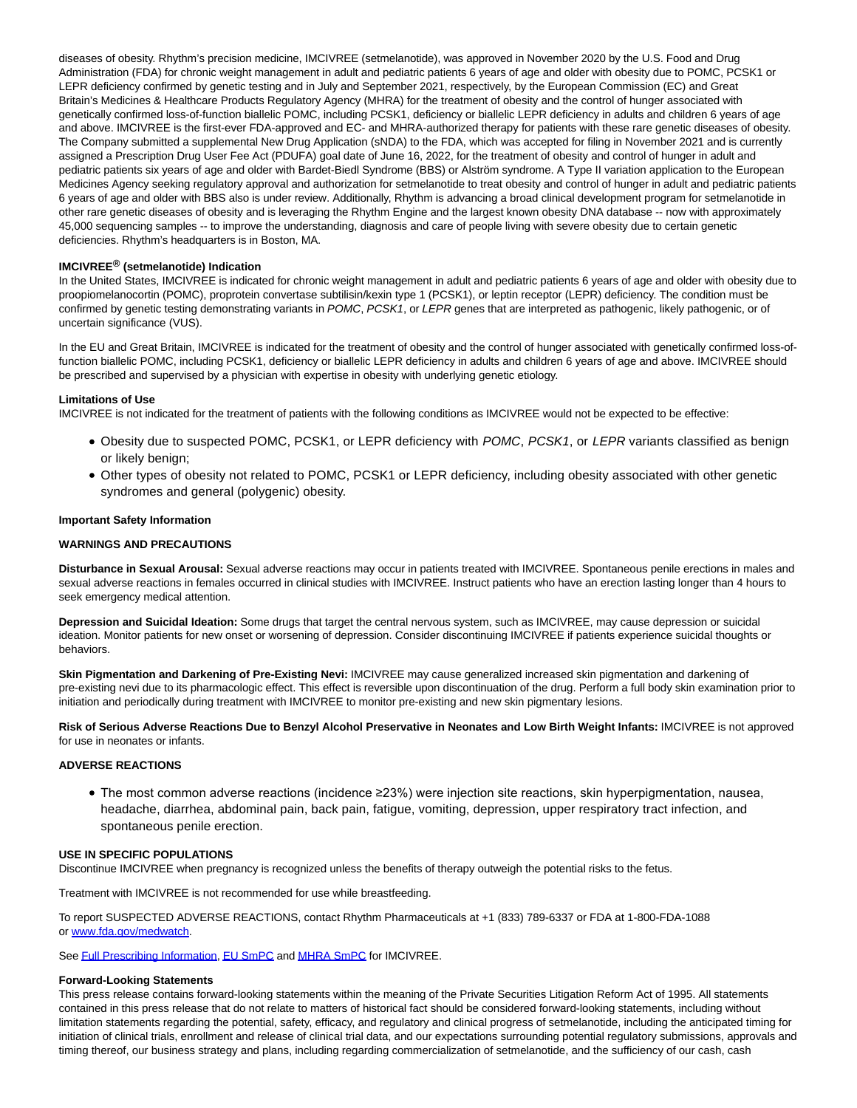diseases of obesity. Rhythm's precision medicine, IMCIVREE (setmelanotide), was approved in November 2020 by the U.S. Food and Drug Administration (FDA) for chronic weight management in adult and pediatric patients 6 years of age and older with obesity due to POMC, PCSK1 or LEPR deficiency confirmed by genetic testing and in July and September 2021, respectively, by the European Commission (EC) and Great Britain's Medicines & Healthcare Products Regulatory Agency (MHRA) for the treatment of obesity and the control of hunger associated with genetically confirmed loss-of-function biallelic POMC, including PCSK1, deficiency or biallelic LEPR deficiency in adults and children 6 years of age and above. IMCIVREE is the first-ever FDA-approved and EC- and MHRA-authorized therapy for patients with these rare genetic diseases of obesity. The Company submitted a supplemental New Drug Application (sNDA) to the FDA, which was accepted for filing in November 2021 and is currently assigned a Prescription Drug User Fee Act (PDUFA) goal date of June 16, 2022, for the treatment of obesity and control of hunger in adult and pediatric patients six years of age and older with Bardet-Biedl Syndrome (BBS) or Alström syndrome. A Type II variation application to the European Medicines Agency seeking regulatory approval and authorization for setmelanotide to treat obesity and control of hunger in adult and pediatric patients 6 years of age and older with BBS also is under review. Additionally, Rhythm is advancing a broad clinical development program for setmelanotide in other rare genetic diseases of obesity and is leveraging the Rhythm Engine and the largest known obesity DNA database -- now with approximately 45,000 sequencing samples -- to improve the understanding, diagnosis and care of people living with severe obesity due to certain genetic deficiencies. Rhythm's headquarters is in Boston, MA.

## **IMCIVREE® (setmelanotide) Indication**

In the United States, IMCIVREE is indicated for chronic weight management in adult and pediatric patients 6 years of age and older with obesity due to proopiomelanocortin (POMC), proprotein convertase subtilisin/kexin type 1 (PCSK1), or leptin receptor (LEPR) deficiency. The condition must be confirmed by genetic testing demonstrating variants in POMC, PCSK1, or LEPR genes that are interpreted as pathogenic, likely pathogenic, or of uncertain significance (VUS).

In the EU and Great Britain, IMCIVREE is indicated for the treatment of obesity and the control of hunger associated with genetically confirmed loss-offunction biallelic POMC, including PCSK1, deficiency or biallelic LEPR deficiency in adults and children 6 years of age and above. IMCIVREE should be prescribed and supervised by a physician with expertise in obesity with underlying genetic etiology.

#### **Limitations of Use**

IMCIVREE is not indicated for the treatment of patients with the following conditions as IMCIVREE would not be expected to be effective:

- Obesity due to suspected POMC, PCSK1, or LEPR deficiency with POMC, PCSK1, or LEPR variants classified as benign or likely benign;
- Other types of obesity not related to POMC, PCSK1 or LEPR deficiency, including obesity associated with other genetic syndromes and general (polygenic) obesity.

#### **Important Safety Information**

#### **WARNINGS AND PRECAUTIONS**

**Disturbance in Sexual Arousal:** Sexual adverse reactions may occur in patients treated with IMCIVREE. Spontaneous penile erections in males and sexual adverse reactions in females occurred in clinical studies with IMCIVREE. Instruct patients who have an erection lasting longer than 4 hours to seek emergency medical attention.

**Depression and Suicidal Ideation:** Some drugs that target the central nervous system, such as IMCIVREE, may cause depression or suicidal ideation. Monitor patients for new onset or worsening of depression. Consider discontinuing IMCIVREE if patients experience suicidal thoughts or behaviors.

**Skin Pigmentation and Darkening of Pre-Existing Nevi:** IMCIVREE may cause generalized increased skin pigmentation and darkening of pre-existing nevi due to its pharmacologic effect. This effect is reversible upon discontinuation of the drug. Perform a full body skin examination prior to initiation and periodically during treatment with IMCIVREE to monitor pre-existing and new skin pigmentary lesions.

**Risk of Serious Adverse Reactions Due to Benzyl Alcohol Preservative in Neonates and Low Birth Weight Infants:** IMCIVREE is not approved for use in neonates or infants.

#### **ADVERSE REACTIONS**

The most common adverse reactions (incidence ≥23%) were injection site reactions, skin hyperpigmentation, nausea, headache, diarrhea, abdominal pain, back pain, fatigue, vomiting, depression, upper respiratory tract infection, and spontaneous penile erection.

#### **USE IN SPECIFIC POPULATIONS**

Discontinue IMCIVREE when pregnancy is recognized unless the benefits of therapy outweigh the potential risks to the fetus.

Treatment with IMCIVREE is not recommended for use while breastfeeding.

To report SUSPECTED ADVERSE REACTIONS, contact Rhythm Pharmaceuticals at +1 (833) 789-6337 or FDA at 1-800-FDA-1088 o[r www.fda.gov/medwatch.](https://www.globenewswire.com/Tracker?data=c7Qt79f1LEeWCsuW-VjpkueXbdShjc1EUzEfDUQaGhLoBuLT8eIP3-Jof-F5Rbj2tOaGdxLpx-H3v48uAee7VOPsNxbp2yz5vN1l5vYH-zNk30xdvCRO07Zos7ssr3bh__njE1Qnuf6LBuKgt1f77m4UEZaBzJawCdFauxjHx67adSSjvyi-8J7sTz9vD28c)

Se[e Full Prescribing Information,](https://www.globenewswire.com/Tracker?data=_dTXVn13BZDZfiO3p-323PjKCsKxCFd6YEsO1hK2q-RDTvU_MA8na1OK5WdaQkyfC2c7dPCpW6l0G468L9yxLVGfn_1eadaa6cTYpsIRdk5tEfw50hZHuMHpiDWLzle-moIw3PS90sMPYhAQPEydqw==) [EU SmPC a](https://www.globenewswire.com/Tracker?data=5Gda3eV724fDh3iiBjQaIcqyXRr6k2MG3LsZbah9WbMzWA-ZIabIkh8g3l0xVBRUpo605bnZ1WgPp6EJZu9e4wWGvy7edfugj4TXtxY8RfA4BwGGtylc0_moHfEBztMYRuVJzDw2qTxCnUCmRQTo8wcL9NrLDEIUjF_Xu9Q2SDmYGrJx-eB57yglnaPrCeCP)n[d MHRA SmPC f](https://www.globenewswire.com/Tracker?data=7QbJGhG-PA7UmAZcX4hrh3TvCKM41rsrrhk4ofa_nQvP-cBcXNavEpf-9wYqVF-HLSLrDZ6pXT6NbG8ucYnfTg==)or IMCIVREE.

#### **Forward-Looking Statements**

This press release contains forward-looking statements within the meaning of the Private Securities Litigation Reform Act of 1995. All statements contained in this press release that do not relate to matters of historical fact should be considered forward-looking statements, including without limitation statements regarding the potential, safety, efficacy, and regulatory and clinical progress of setmelanotide, including the anticipated timing for initiation of clinical trials, enrollment and release of clinical trial data, and our expectations surrounding potential regulatory submissions, approvals and timing thereof, our business strategy and plans, including regarding commercialization of setmelanotide, and the sufficiency of our cash, cash